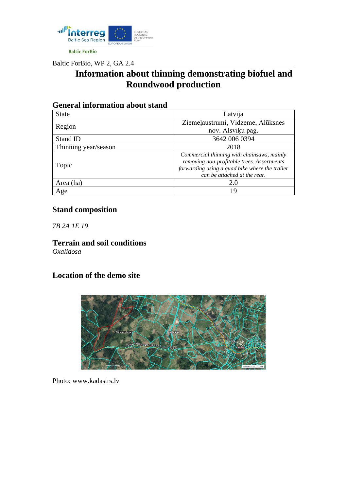

Baltic ForBio, WP 2, GA 2.4

# **Information about thinning demonstrating biofuel and Roundwood production**

| Ochera mivi magon about stand |                                                                                                                                                                            |
|-------------------------------|----------------------------------------------------------------------------------------------------------------------------------------------------------------------------|
| <b>State</b>                  | Latvija                                                                                                                                                                    |
| Region                        | Ziemeļaustrumi, Vidzeme, Alūksnes                                                                                                                                          |
|                               | nov. Alsviķu pag.                                                                                                                                                          |
| Stand ID                      | 3642 006 0394                                                                                                                                                              |
| Thinning year/season          | 2018                                                                                                                                                                       |
| Topic                         | Commercial thinning with chainsaws, mainly<br>removing non-profitable trees. Assortments<br>forwarding using a quad bike where the trailer<br>can be attached at the rear. |
| Area (ha)                     | 2.0                                                                                                                                                                        |
| Age                           | 19                                                                                                                                                                         |

### **General information about stand**

### **Stand composition**

*7B 2A 1E 19*

**Terrain and soil conditions** *Oxalidosa*

#### **Location of the demo site**



Photo: [www.kadastrs.lv](http://www.kadastrs.lv/)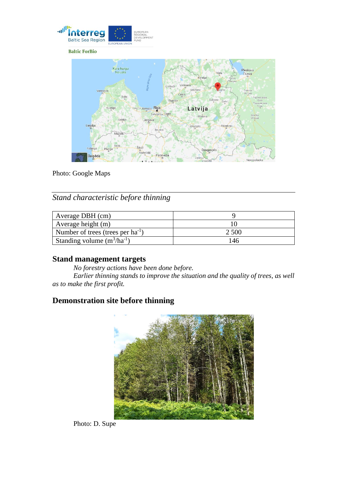

**Baltic ForBio** 



Photo: Google Maps

*Stand characteristic before thinning*

| Average DBH (cm)                       |       |
|----------------------------------------|-------|
| Average height $(m)$                   |       |
| Number of trees (trees per $ha^{-1}$ ) | 2.500 |
| Standing volume $(m^3/ha^{-1})$        | ∣46   |

#### **Stand management targets**

*No forestry actions have been done before. Earlier thinning stands to improve the situation and the quality of trees, as well as to make the first profit.*

### **Demonstration site before thinning**



Photo: D. Supe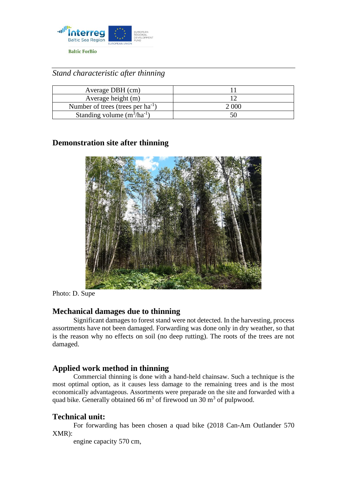

*Stand characteristic after thinning*

| Average DBH (cm)                       |       |
|----------------------------------------|-------|
| Average height (m)                     |       |
| Number of trees (trees per $ha^{-1}$ ) | 2.006 |
| Standing volume $(m^3/ha^{-1})$        |       |

#### **Demonstration site after thinning**



Photo: D. Supe

#### **Mechanical damages due to thinning**

Significant damages to forest stand were not detected. In the harvesting, process assortments have not been damaged. Forwarding was done only in dry weather, so that is the reason why no effects on soil (no deep rutting). The roots of the trees are not damaged.

#### **Applied work method in thinning**

Commercial thinning is done with a hand-held chainsaw. Such a technique is the most optimal option, as it causes less damage to the remaining trees and is the most economically advantageous. Assortments were preparade on the site and forwarded with a quad bike. Generally obtained 66  $m<sup>3</sup>$  of firewood un 30  $m<sup>3</sup>$  of pulpwood.

#### **Technical unit:**

For forwarding has been chosen a quad bike (2018 Can-Am Outlander 570 XMR):

engine capacity 570 cm,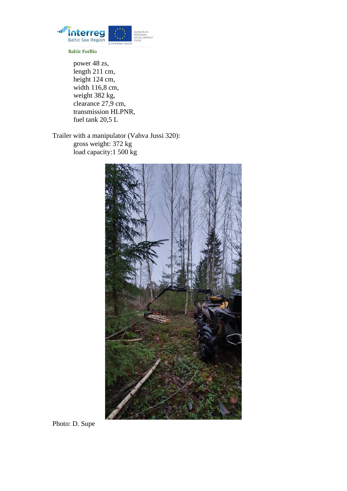

**Baltic ForBio** 

power 48 zs, length 211 cm, height 124 cm, width 116,8 cm, weight 382 kg, clearance 27,9 cm, transmission HLPNR, fuel tank 20,5 L

Trailer with a manipulator (Vahva Jussi 320): gross weight: 372 kg load capacity:1 500 kg



Photo: D. Supe